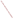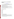# **Consumer Factsheet on: POLYCHLORINATED BIPHENYLS**

[List of Contaminants](http://www.epa.gov/safewater/hfacts.html) 

 As part of the Drinking Water and Health pages, this fact sheet is part of a larger publication: **National Primary Drinking Water Regulations** 

 States Environmental Protection Agency (EPA). This is a factsheet about a chemical that may be found in some public or private drinking water supplies. It may cause health problems if found in amounts greater than the health standard set by the United

## **What are PCBs and how are they used?**

 oils, in heat transfer systems, carbonless reproducing paper. Polychlorinated biphenyls (PCBs) are a group of organic chemicals which can be odorless or mildly aromatic solids or oily liquids. They were formerly used in the USA as hydraulic fluids, plasticizers, adhesives, fire retardants, way extenders, de-dusting agents, pesticide extenders, inks, lubricants, cutting

 The list of trade names given below may help you find out whether you are using this chemical at home or work.

#### **Trade Names and Synonyms:**

 Chlorinated diphenyl PCB Clophen Kanechlor Aroclor Fenclor **Chlorextol** Dykanol Inerteen **Monter** Pyralene **Santotherm** Sovol **Therminol** Noflamol

## **Why are PCBs being Regulated?**

 chemicals in drinking water which do or may cause health problems. These non-enforceable levels, based solely on possible health risks and exposure, are called Maximum Contaminant Level Goals. In 1974, Congress passed the Safe Drinking Water Act. This law requires EPA to determine safe levels of

The MCLG for PCBs has been set at zero because EPA believes this level of protection would not cause any of the potential health problems described below.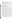Based on this MCLG, EPA has set an enforceable standard called a Maximum Contaminant Level (MCL). MCLs are set as close to the MCLGs as possible, considering the ability of public water systems to detect and remove contaminants using suitable treatment technologies.

 The MCL has been set at 0.5 parts per billion (ppb) because EPA believes, given present technology and contaminant should it occur in drinking water. resources, this is the lowest level to which water systems can reasonably be required to remove this

These drinking water standards and the regulations for ensuring these standards are met, are called National Primary Drinking Water Regulations. All public water supplies must abide by these regulations.

## **What are the Health Effects?**

 Short-term: EPA has found PCBs to potentially cause the following health effects when people are exposed to it at levels above the MCL for relatively short periods of time: acne-like eruptions and pigmentation of the skin; hearing and vision problems; spasms.

Long-term: PCBs has the potential to cause the following effects from a lifetime exposure at levels above the MCL: effects similar to acute poisonings; irritation of nose, throat and gastrointestinal tracts; changes in liver function; cancer.

#### **How much PCBs are produced and released to the environment?**

 Production of PCBs has decreased drastically: from over 86 million lbs. in 1970 to 35 million lbs in 1977. persistent contaminant from soil to air to soil again. PCBs are also currently released from landfills, incineration of municipal refuse and sewage sludge, and improper (or illegal) disposal of PCB materials, Since EPA banned most uses of PCBs in 1979, current releases are due mainly to the cycling of this such as waste transformer fluid, to open areas.

From 1987 to 1993, according to EPA's Toxic Chemical Release Inventory, PCB releases to land and water totalled over 74,000 lbs. The bulk of these releases occurred in 1990 and were primarily from nonferrous wire drawing and insulating industries. The largest releases occurred in California.

## **What happens to PCBs when they are released to the environment?**

 PCBs are very persistent in soil and water, with no known break down processes other than slow degradation by microbes. They adhere to soils or evaporate, and so will not usually leach to ground water. PCB-contaminated sediments in lakes or rivers can slowly release PCB back into water, from which it eventually evaporates.

# **How will PCBs be Detected in and Removed from My Drinking Water?**

 The regulation for PCBs became effective in 1992. Between 1993 and 1995, EPA required your water supplier to collect water samples every 3 months for one year and analyze them to find out if PCBs are PCB, the system must continue to monitor this contaminant. present above some lowest detectable level. If it is present above this level, which differs for each type of

 have been approved by EPA for removing PCBs: Granular activated charcoal. If contaminant levels are found to be consistently above the MCL, your water supplier must take steps to reduce the amount of PCBs so that it is consistently below that level. The following treatment methods